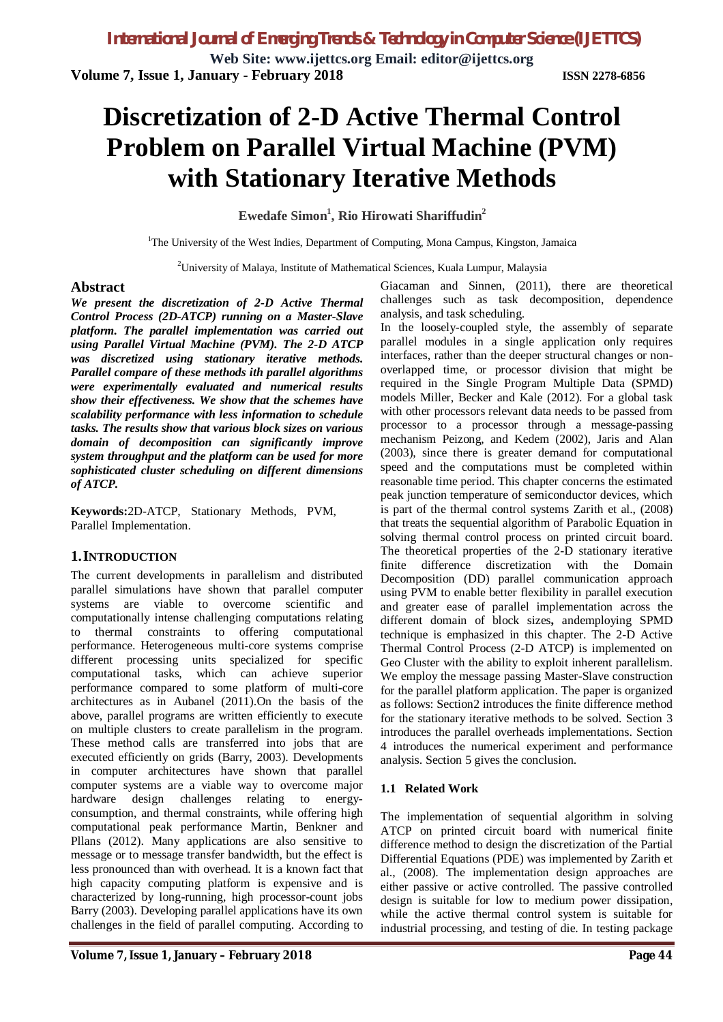**Web Site: www.ijettcs.org Email: editor@ijettcs.org Volume 7, Issue 1, January - February 2018 ISSN 2278-6856**

# **Discretization of 2-D Active Thermal Control Problem on Parallel Virtual Machine (PVM) with Stationary Iterative Methods**

**Ewedafe Simon<sup>1</sup> , Rio Hirowati Shariffudin<sup>2</sup>**

<sup>1</sup>The University of the West Indies, Department of Computing, Mona Campus, Kingston, Jamaica

<sup>2</sup>University of Malaya, Institute of Mathematical Sciences, Kuala Lumpur, Malaysia

### **Abstract**

*We present the discretization of 2-D Active Thermal Control Process (2D-ATCP) running on a Master-Slave platform. The parallel implementation was carried out using Parallel Virtual Machine (PVM). The 2-D ATCP was discretized using stationary iterative methods. Parallel compare of these methods ith parallel algorithms were experimentally evaluated and numerical results show their effectiveness. We show that the schemes have scalability performance with less information to schedule tasks. The results show that various block sizes on various domain of decomposition can significantly improve system throughput and the platform can be used for more sophisticated cluster scheduling on different dimensions of ATCP.*

**Keywords:**2D-ATCP, Stationary Methods, PVM, Parallel Implementation.

## **1.INTRODUCTION**

The current developments in parallelism and distributed parallel simulations have shown that parallel computer systems are viable to overcome scientific and computationally intense challenging computations relating to thermal constraints to offering computational performance. Heterogeneous multi-core systems comprise different processing units specialized for specific computational tasks, which can achieve superior performance compared to some platform of multi-core architectures as in Aubanel (2011).On the basis of the above, parallel programs are written efficiently to execute on multiple clusters to create parallelism in the program. These method calls are transferred into jobs that are executed efficiently on grids (Barry, 2003). Developments in computer architectures have shown that parallel computer systems are a viable way to overcome major hardware design challenges relating to energyconsumption, and thermal constraints, while offering high computational peak performance Martin, Benkner and Pllans (2012). Many applications are also sensitive to message or to message transfer bandwidth, but the effect is less pronounced than with overhead. It is a known fact that high capacity computing platform is expensive and is characterized by long-running, high processor-count jobs Barry (2003). Developing parallel applications have its own challenges in the field of parallel computing. According to

Giacaman and Sinnen, (2011), there are theoretical challenges such as task decomposition, dependence analysis, and task scheduling.

In the loosely-coupled style, the assembly of separate parallel modules in a single application only requires interfaces, rather than the deeper structural changes or nonoverlapped time, or processor division that might be required in the Single Program Multiple Data (SPMD) models Miller, Becker and Kale (2012). For a global task with other processors relevant data needs to be passed from processor to a processor through a message-passing mechanism Peizong, and Kedem (2002), Jaris and Alan (2003), since there is greater demand for computational speed and the computations must be completed within reasonable time period. This chapter concerns the estimated peak junction temperature of semiconductor devices, which is part of the thermal control systems Zarith et al., (2008) that treats the sequential algorithm of Parabolic Equation in solving thermal control process on printed circuit board. The theoretical properties of the 2-D stationary iterative finite difference discretization with the Domain Decomposition (DD) parallel communication approach using PVM to enable better flexibility in parallel execution and greater ease of parallel implementation across the different domain of block sizes**,** andemploying SPMD technique is emphasized in this chapter. The 2-D Active Thermal Control Process (2-D ATCP) is implemented on Geo Cluster with the ability to exploit inherent parallelism. We employ the message passing Master-Slave construction for the parallel platform application. The paper is organized as follows: Section2 introduces the finite difference method for the stationary iterative methods to be solved. Section 3 introduces the parallel overheads implementations. Section 4 introduces the numerical experiment and performance analysis. Section 5 gives the conclusion.

#### **1.1 Related Work**

The implementation of sequential algorithm in solving ATCP on printed circuit board with numerical finite difference method to design the discretization of the Partial Differential Equations (PDE) was implemented by Zarith et al., (2008). The implementation design approaches are either passive or active controlled. The passive controlled design is suitable for low to medium power dissipation, while the active thermal control system is suitable for industrial processing, and testing of die. In testing package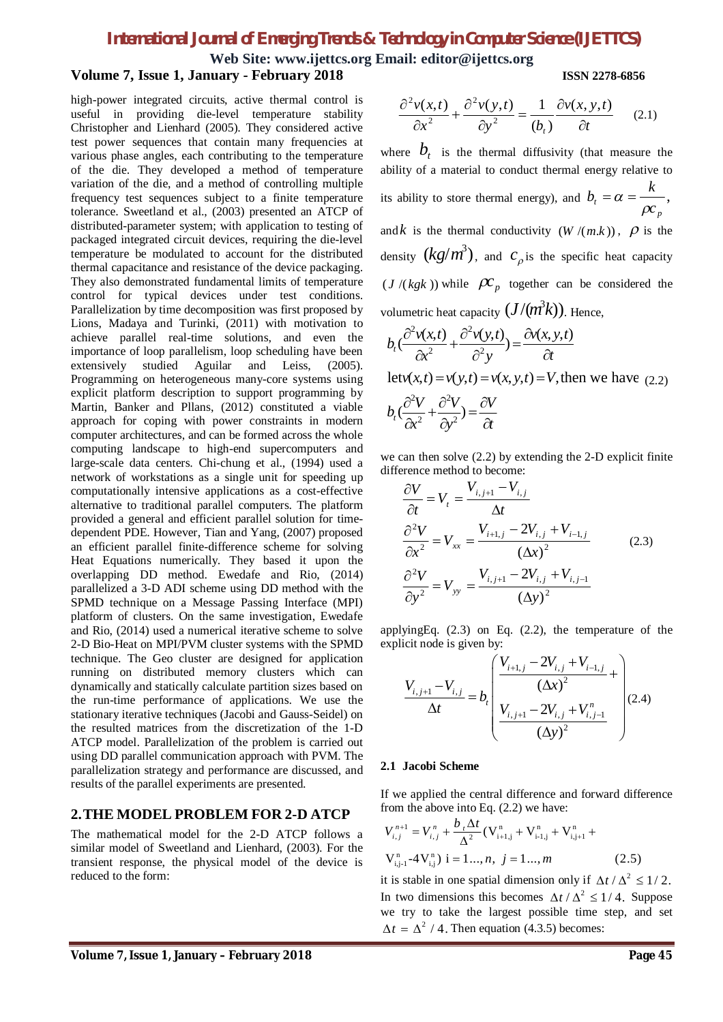**Web Site: www.ijettcs.org Email: editor@ijettcs.org Volume 7, Issue 1, January - February 2018 ISSN 2278-6856**

high-power integrated circuits, active thermal control is useful in providing die-level temperature stability Christopher and Lienhard (2005). They considered active test power sequences that contain many frequencies at various phase angles, each contributing to the temperature of the die. They developed a method of temperature variation of the die, and a method of controlling multiple frequency test sequences subject to a finite temperature tolerance. Sweetland et al., (2003) presented an ATCP of distributed-parameter system; with application to testing of packaged integrated circuit devices, requiring the die-level temperature be modulated to account for the distributed thermal capacitance and resistance of the device packaging. They also demonstrated fundamental limits of temperature control for typical devices under test conditions. Parallelization by time decomposition was first proposed by Lions, Madaya and Turinki, (2011) with motivation to achieve parallel real-time solutions, and even the importance of loop parallelism, loop scheduling have been extensively studied Aguilar and Leiss, (2005). Programming on heterogeneous many-core systems using explicit platform description to support programming by Martin, Banker and Pllans, (2012) constituted a viable approach for coping with power constraints in modern computer architectures, and can be formed across the whole computing landscape to high-end supercomputers and large-scale data centers. Chi-chung et al., (1994) used a network of workstations as a single unit for speeding up computationally intensive applications as a cost-effective alternative to traditional parallel computers. The platform provided a general and efficient parallel solution for timedependent PDE. However, Tian and Yang, (2007) proposed an efficient parallel finite-difference scheme for solving Heat Equations numerically. They based it upon the overlapping DD method. Ewedafe and Rio, (2014) parallelized a 3-D ADI scheme using DD method with the SPMD technique on a Message Passing Interface (MPI) platform of clusters. On the same investigation, Ewedafe and Rio, (2014) used a numerical iterative scheme to solve 2-D Bio-Heat on MPI/PVM cluster systems with the SPMD technique. The Geo cluster are designed for application running on distributed memory clusters which can dynamically and statically calculate partition sizes based on the run-time performance of applications. We use the stationary iterative techniques (Jacobi and Gauss-Seidel) on the resulted matrices from the discretization of the 1-D ATCP model. Parallelization of the problem is carried out using DD parallel communication approach with PVM. The parallelization strategy and performance are discussed, and results of the parallel experiments are presented.

### **2.THE MODEL PROBLEM FOR 2-D ATCP**

The mathematical model for the 2-D ATCP follows a similar model of Sweetland and Lienhard, (2003). For the transient response, the physical model of the device is reduced to the form:

$$
\frac{\partial^2 v(x,t)}{\partial x^2} + \frac{\partial^2 v(y,t)}{\partial y^2} = \frac{1}{(b_t)} \frac{\partial v(x,y,t)}{\partial t}
$$
 (2.1)

where  $b_t$  is the thermal diffusivity (that measure the ability of a material to conduct thermal energy relative to its ability to store thermal energy), and  $b_t = \alpha = \frac{\lambda}{\alpha}$ , *p*  $\mu$ <sup>*t*</sup>  $-\alpha$   $-\beta$  $b_t = \alpha = \frac{k}{k}$  $\rho$  $=\alpha =$ and *k* is the thermal conductivity  $(W/(m.k))$ ,  $\rho$  is the density  $(kg/m^3)$ , and  $c_\rho$  is the specific heat capacity  $(J/(kgk))$  while  $\mathcal{P}$ <sub>*c*</sub> together can be considered the volumetric heat capacity  $(J/(m^3k))$ . Hence,

$$
b_t \left( \frac{\partial^2 v(x,t)}{\partial x^2} + \frac{\partial^2 v(y,t)}{\partial^2 y} \right) = \frac{\partial v(x,y,t)}{\partial t}
$$

*t V y V x*  $b_i \left(\frac{\partial^2 V}{\partial x^2} + \frac{\partial^2 V}{\partial y^2}\right) = \frac{\partial V}{\partial x^2}$  $\text{let } v(x,t) = v(y,t) = v(x, y,t) = V, \text{ then we have } (2.2)$  $=\frac{\partial}{\partial x}$  $\partial$  $+\frac{\partial}{\partial}$  $\partial$  $\left(\frac{\partial^2 V}{\partial x^2} + \frac{\partial^2 V}{\partial y^2}\right)$ 2 2 2

we can then solve (2.2) by extending the 2-D explicit finite difference method to become:

$$
\frac{\partial V}{\partial t} = V_{t} = \frac{V_{i,j+1} - V_{i,j}}{\Delta t}
$$
  
\n
$$
\frac{\partial^{2} V}{\partial x^{2}} = V_{xx} = \frac{V_{i+1,j} - 2V_{i,j} + V_{i-1,j}}{(\Delta x)^{2}}
$$
 (2.3)  
\n
$$
\frac{\partial^{2} V}{\partial y^{2}} = V_{yy} = \frac{V_{i,j+1} - 2V_{i,j} + V_{i,j-1}}{(\Delta y)^{2}}
$$

applyingEq.  $(2.3)$  on Eq.  $(2.2)$ , the temperature of the explicit node is given by:

$$
\frac{V_{i,j+1} - V_{i,j}}{\Delta t} = b_i \left( \frac{V_{i+1,j} - 2V_{i,j} + V_{i-1,j}}{(\Delta x)^2} + \frac{V_{i,j+1} - 2V_{i,j} + V_{i,j-1}}{(\Delta y)^2} \right)
$$
(2.4)

#### **2.1 Jacobi Scheme**

If we applied the central difference and forward difference from the above into Eq. (2.2) we have:

$$
V_{i,j}^{n+1} = V_{i,j}^{n} + \frac{b_{i} \Delta t}{\Delta^{2}} (V_{i+1,j}^{n} + V_{i-1,j}^{n} + V_{i,j+1}^{n} + V_{i,j-1}^{n} - 4V_{i,j}^{n}) \quad i = 1...,n, \quad j = 1...,m
$$
 (2.5)

it is stable in one spatial dimension only if  $\Delta t / \Delta^2 \leq 1/2$ . In two dimensions this becomes  $\Delta t / \Delta^2 \leq 1/4$ . Suppose we try to take the largest possible time step, and set  $\Delta t = \Delta^2 / 4$ . Then equation (4.3.5) becomes: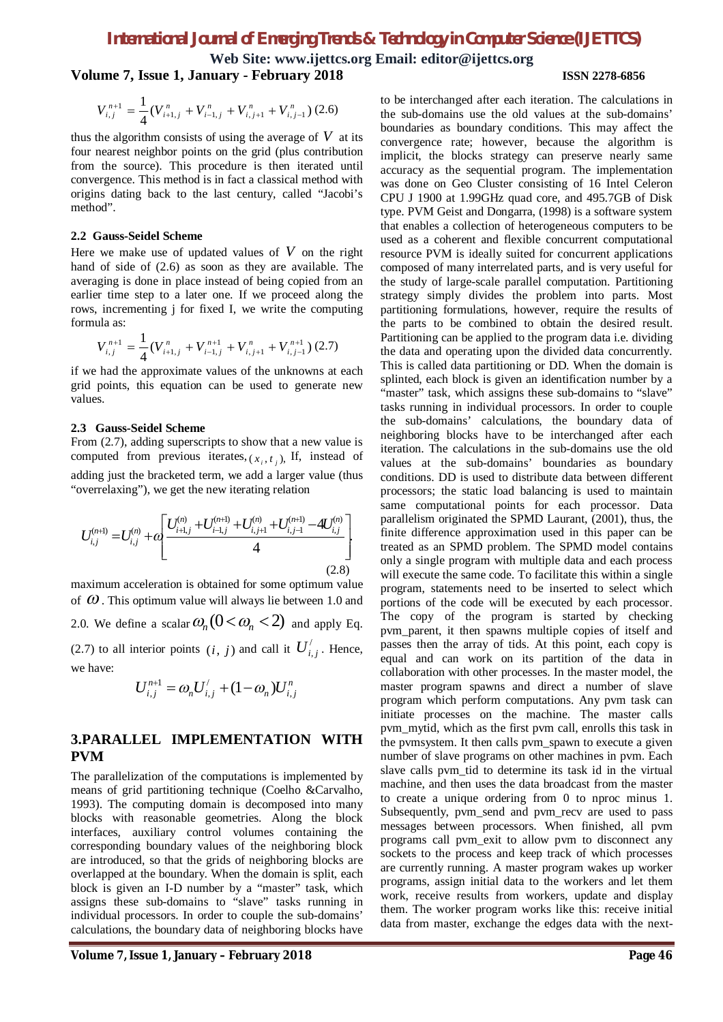**Web Site: www.ijettcs.org Email: editor@ijettcs.org Volume 7, Issue 1, January - February 2018 ISSN 2278-6856**

$$
V_{i,j}^{n+1} = \frac{1}{4} (V_{i+1,j}^n + V_{i-1,j}^n + V_{i,j+1}^n + V_{i,j-1}^n) (2.6)
$$

thus the algorithm consists of using the average of  $V$  at its four nearest neighbor points on the grid (plus contribution from the source). This procedure is then iterated until convergence. This method is in fact a classical method with origins dating back to the last century, called "Jacobi's method".

#### **2.2 Gauss-Seidel Scheme**

Here we make use of updated values of  $V$  on the right hand of side of (2.6) as soon as they are available. The averaging is done in place instead of being copied from an earlier time step to a later one. If we proceed along the rows, incrementing j for fixed I, we write the computing formula as:

$$
V_{i,j}^{n+1} = \frac{1}{4} (V_{i+1,j}^n + V_{i-1,j}^{n+1} + V_{i,j+1}^n + V_{i,j-1}^{n+1}) (2.7)
$$

if we had the approximate values of the unknowns at each grid points, this equation can be used to generate new values.

#### **2.3 Gauss-Seidel Scheme**

From (2.7), adding superscripts to show that a new value is computed from previous iterates,  $(x_i, t_j)$ , If, instead of adding just the bracketed term, we add a larger value (thus "overrelaxing"), we get the new iterating relation

$$
U_{i,j}^{(n+1)} = U_{i,j}^{(n)} + \alpha \left[ \frac{U_{i+1,j}^{(n)} + U_{i-1,j}^{(n+1)} + U_{i,j+1}^{(n)} - 4U_{i,j}^{(n)}}{4} \right].
$$
\n(2.8)

maximum acceleration is obtained for some optimum value of  $\omega$ . This optimum value will always lie between 1.0 and 2.0. We define a scalar  $\omega_n (0 < \omega_n < 2)$  and apply Eq. (2.7) to all interior points  $(i, j)$  and call it  $U'_{i,j}$ . Hence, we have:

$$
U_{i,j}^{n+1} = \omega_n U_{i,j}^{\prime} + (1 - \omega_n) U_{i,j}^n
$$

## **3.PARALLEL IMPLEMENTATION WITH PVM**

The parallelization of the computations is implemented by means of grid partitioning technique (Coelho &Carvalho, 1993). The computing domain is decomposed into many blocks with reasonable geometries. Along the block interfaces, auxiliary control volumes containing the corresponding boundary values of the neighboring block are introduced, so that the grids of neighboring blocks are overlapped at the boundary. When the domain is split, each block is given an I-D number by a "master" task, which assigns these sub-domains to "slave" tasks running in individual processors. In order to couple the sub-domains' calculations, the boundary data of neighboring blocks have

to be interchanged after each iteration. The calculations in the sub-domains use the old values at the sub-domains' boundaries as boundary conditions. This may affect the convergence rate; however, because the algorithm is implicit, the blocks strategy can preserve nearly same accuracy as the sequential program. The implementation was done on Geo Cluster consisting of 16 Intel Celeron CPU J 1900 at 1.99GHz quad core, and 495.7GB of Disk type. PVM Geist and Dongarra, (1998) is a software system that enables a collection of heterogeneous computers to be used as a coherent and flexible concurrent computational resource PVM is ideally suited for concurrent applications composed of many interrelated parts, and is very useful for the study of large-scale parallel computation. Partitioning strategy simply divides the problem into parts. Most partitioning formulations, however, require the results of the parts to be combined to obtain the desired result. Partitioning can be applied to the program data i.e. dividing the data and operating upon the divided data concurrently. This is called data partitioning or DD. When the domain is splinted, each block is given an identification number by a "master" task, which assigns these sub-domains to "slave" tasks running in individual processors. In order to couple the sub-domains' calculations, the boundary data of neighboring blocks have to be interchanged after each iteration. The calculations in the sub-domains use the old values at the sub-domains' boundaries as boundary conditions. DD is used to distribute data between different processors; the static load balancing is used to maintain same computational points for each processor. Data parallelism originated the SPMD Laurant, (2001), thus, the finite difference approximation used in this paper can be treated as an SPMD problem. The SPMD model contains only a single program with multiple data and each process will execute the same code. To facilitate this within a single program, statements need to be inserted to select which portions of the code will be executed by each processor. The copy of the program is started by checking pvm\_parent, it then spawns multiple copies of itself and passes then the array of tids. At this point, each copy is equal and can work on its partition of the data in collaboration with other processes. In the master model, the master program spawns and direct a number of slave program which perform computations. Any pvm task can initiate processes on the machine. The master calls pvm\_mytid, which as the first pvm call, enrolls this task in the pvmsystem. It then calls pvm\_spawn to execute a given number of slave programs on other machines in pvm. Each slave calls pvm\_tid to determine its task id in the virtual machine, and then uses the data broadcast from the master to create a unique ordering from 0 to nproc minus 1. Subsequently, pvm\_send and pvm\_recv are used to pass messages between processors. When finished, all pvm programs call pvm\_exit to allow pvm to disconnect any sockets to the process and keep track of which processes are currently running. A master program wakes up worker programs, assign initial data to the workers and let them work, receive results from workers, update and display them. The worker program works like this: receive initial data from master, exchange the edges data with the next-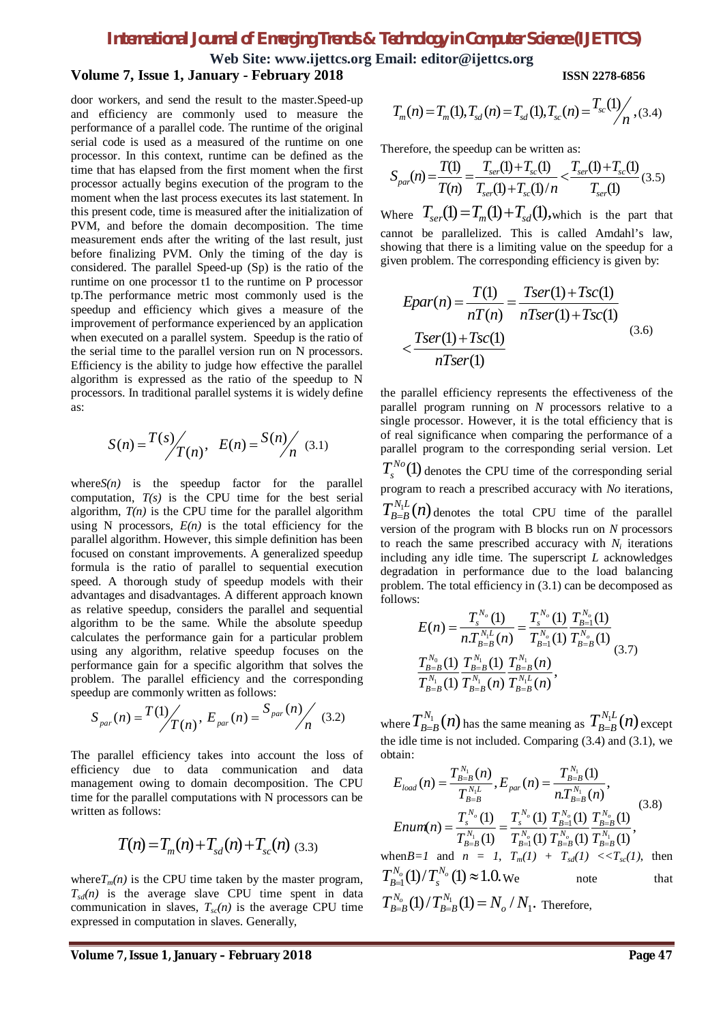**Web Site: www.ijettcs.org Email: editor@ijettcs.org Volume 7, Issue 1, January - February 2018 ISSN 2278-6856**

door workers, and send the result to the master.Speed-up and efficiency are commonly used to measure the performance of a parallel code. The runtime of the original serial code is used as a measured of the runtime on one processor. In this context, runtime can be defined as the time that has elapsed from the first moment when the first processor actually begins execution of the program to the moment when the last process executes its last statement. In this present code, time is measured after the initialization of PVM, and before the domain decomposition. The time measurement ends after the writing of the last result, just before finalizing PVM. Only the timing of the day is considered. The parallel Speed-up (Sp) is the ratio of the runtime on one processor t1 to the runtime on P processor tp.The performance metric most commonly used is the speedup and efficiency which gives a measure of the improvement of performance experienced by an application when executed on a parallel system. Speedup is the ratio of the serial time to the parallel version run on N processors. Efficiency is the ability to judge how effective the parallel algorithm is expressed as the ratio of the speedup to N processors. In traditional parallel systems it is widely define as:

$$
S(n) = \frac{T(s)}{T(n)}, \quad E(n) = \frac{S(n)}{n} \quad (3.1)
$$

where $S(n)$  is the speedup factor for the parallel computation,  $T(s)$  is the CPU time for the best serial algorithm,  $T(n)$  is the CPU time for the parallel algorithm using N processors,  $E(n)$  is the total efficiency for the parallel algorithm. However, this simple definition has been focused on constant improvements. A generalized speedup formula is the ratio of parallel to sequential execution speed. A thorough study of speedup models with their advantages and disadvantages. A different approach known as relative speedup, considers the parallel and sequential algorithm to be the same. While the absolute speedup calculates the performance gain for a particular problem using any algorithm, relative speedup focuses on the performance gain for a specific algorithm that solves the problem. The parallel efficiency and the corresponding speedup are commonly written as follows:

$$
S_{par}(n) = \frac{T(1)}{T(n)}, E_{par}(n) = \frac{S_{par}(n)}{n}
$$
 (3.2)

The parallel efficiency takes into account the loss of efficiency due to data communication and data management owing to domain decomposition. The CPU time for the parallel computations with N processors can be written as follows:

$$
T(n) = T_m(n) + T_{sd}(n) + T_{sc}(n)
$$
 (3.3)

where $T_m(n)$  is the CPU time taken by the master program,  $T_{sd}(n)$  is the average slave CPU time spent in data communication in slaves,  $T_{sc}(n)$  is the average CPU time expressed in computation in slaves. Generally,

$$
T_m(n) = T_m(1), T_{sd}(n) = T_{sd}(1), T_{sc}(n) = \frac{T_{sc}(1)}{n}, (3.4)
$$

Therefore, the speedup can be written as:

$$
S_{par}(n) = \frac{T(1)}{T(n)} = \frac{T_{ser}(1) + T_{sc}(1)}{T_{ser}(1) + T_{sc}(1)/n} < \frac{T_{ser}(1) + T_{sc}(1)}{T_{ser}(1)} (3.5)
$$

Where  $T_{ser}$  (1) =  $T_m$  (1) +  $T_{sd}$  (1), which is the part that cannot be parallelized. This is called Amdahl's law, showing that there is a limiting value on the speedup for a given problem. The corresponding efficiency is given by:

$$
Epar(n) = \frac{T(1)}{nT(n)} = \frac{Tser(1) + Tsc(1)}{nTser(1) + Tsc(1)}
$$
  

$$
< \frac{Tser(1) + Tsc(1)}{nTser(1)}
$$
 (3.6)

the parallel efficiency represents the effectiveness of the parallel program running on *N* processors relative to a single processor. However, it is the total efficiency that is of real significance when comparing the performance of a parallel program to the corresponding serial version. Let  $T_s^{No}(1)$  denotes the CPU time of the corresponding serial program to reach a prescribed accuracy with *No* iterations,  $T_{B=B}^{N_1L}(n)$  $B = B$  (*n*) denotes the total CPU time of the parallel version of the program with B blocks run on *N* processors to reach the same prescribed accuracy with  $N_i$  iterations including any idle time. The superscript *L* acknowledges degradation in performance due to the load balancing problem. The total efficiency in (3.1) can be decomposed as follows:

$$
E(n) = \frac{T_s^{N_o}(1)}{n T_{B=B}^{N_l}(n)} = \frac{T_s^{N_o}(1)}{T_{B=1}^{N_o}(1)} \frac{T_{B=1}^{N_o}(1)}{T_{B=B}^{N_o}(1)} \n\frac{T_{B=B}^{N_o}(1)}{T_{B=B}^{N_h}(1)} \frac{T_{B=B}^{N_l}(1)}{T_{B=B}^{N_l}(n)} \frac{T_{B=B}^{N_l}(n)}{T_{B=B}^{N_l}(n)},
$$
\n(3.7)

where  $T^{N_1}_{B=B}(n)$  $T^{N_{\rm l}}_{B=B}(n)$  has the same meaning as  $T^{N_{\rm l}L}_{B=B}(n)$  $B=B$  (*n*) except the idle time is not included. Comparing (3.4) and (3.1), we obtain: *N*

$$
E_{load}(n) = \frac{T_{B=B}^{N_1}(n)}{T_{B=B}^{N_1}} , E_{par}(n) = \frac{T_{B=B}^{N_1}(1)}{n.T_{B=B}^{N_1}(n)},
$$
  
\n
$$
Enum(n) = \frac{T_{s}^{N_o}(1)}{T_{B=B}^{N_1}(1)} = \frac{T_{s}^{N_o}(1)}{T_{B=1}^{N_o}(1)} \frac{T_{B=1}^{N_o}(1)}{T_{B=B}^{N_o}(1)} \frac{T_{B=B}^{N_o}(1)}{T_{B=B}^{N_1}(1)},
$$
  
\n
$$
when B=1 and n = 1, T_m(1) + T_{sd}(1) << T_{sc}(1), then
$$

$$
T_{B=1}^{N_o}(1)/T_s^{N_o}(1) \approx 1.0.
$$
 We note that  

$$
T_{B=B}^{N_o}(1)/T_{B=B}^{N_1}(1) = N_o / N_1.
$$
 Therefore,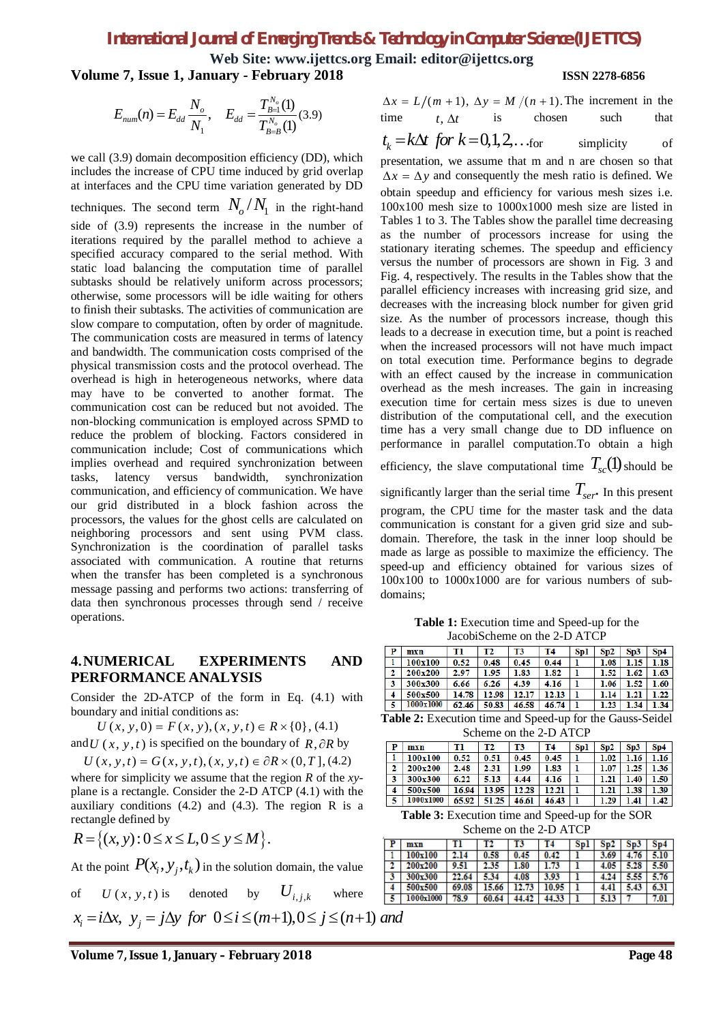**Web Site: www.ijettcs.org Email: editor@ijettcs.org Volume 7, Issue 1, January - February 2018 ISSN 2278-6856**

$$
E_{num}(n) = E_{dd} \frac{N_o}{N_1}, \quad E_{dd} = \frac{T_{B=1}^{N_o}(1)}{T_{B=B}^{N_o}(1)}(3.9)
$$

we call (3.9) domain decomposition efficiency (DD), which includes the increase of CPU time induced by grid overlap at interfaces and the CPU time variation generated by DD

techniques. The second term  $N_o/N_1$  in the right-hand side of (3.9) represents the increase in the number of iterations required by the parallel method to achieve a specified accuracy compared to the serial method. With static load balancing the computation time of parallel subtasks should be relatively uniform across processors; otherwise, some processors will be idle waiting for others to finish their subtasks. The activities of communication are slow compare to computation, often by order of magnitude. The communication costs are measured in terms of latency and bandwidth. The communication costs comprised of the physical transmission costs and the protocol overhead. The overhead is high in heterogeneous networks, where data may have to be converted to another format. The communication cost can be reduced but not avoided. The non-blocking communication is employed across SPMD to reduce the problem of blocking. Factors considered in communication include; Cost of communications which implies overhead and required synchronization between tasks, latency versus bandwidth, synchronization communication, and efficiency of communication. We have our grid distributed in a block fashion across the processors, the values for the ghost cells are calculated on neighboring processors and sent using PVM class. Synchronization is the coordination of parallel tasks associated with communication. A routine that returns when the transfer has been completed is a synchronous message passing and performs two actions: transferring of data then synchronous processes through send / receive operations.

## **4.NUMERICAL EXPERIMENTS AND PERFORMANCE ANALYSIS**

Consider the 2D-ATCP of the form in Eq. (4.1) with boundary and initial conditions as:

 $U(x, y, 0) = F(x, y), (x, y, t) \in R \times \{0\}, (4.1)$ 

and *U*  $(x, y, t)$  is specified on the boundary of *R*,  $\partial R$  by

 $U(x, y, t) = G(x, y, t), (x, y, t) \in \partial R \times (0, T], (4.2)$ 

where for simplicity we assume that the region *R* of the *xy*plane is a rectangle. Consider the 2-D ATCP (4.1) with the auxiliary conditions (4.2) and (4.3). The region R is a rectangle defined by

$$
R = \{(x, y): 0 \le x \le L, 0 \le y \le M\}.
$$

At the point  $P(x_i, y_i, t_k)$  in the solution domain, the value

of 
$$
U(x, y, t)
$$
 is denoted by  $U_{i, j, k}$  where  $\frac{4}{5}$   
 $x_i = i\Delta x$ ,  $y_j = j\Delta y$  for  $0 \le i \le (m+1), 0 \le j \le (n+1)$  and

$$
\Delta x = L/(m+1), \Delta y = M/(n+1).
$$
 The increment in the time *t*,  $\Delta t$  is chosen such that

$$
t_k = k\Delta t \text{ for } k = 0, 1, 2, \dots \text{for} \qquad \text{simplicity} \qquad \text{of}
$$

presentation, we assume that m and n are chosen so that  $\Delta x = \Delta y$  and consequently the mesh ratio is defined. We obtain speedup and efficiency for various mesh sizes i.e. 100x100 mesh size to 1000x1000 mesh size are listed in Tables 1 to 3. The Tables show the parallel time decreasing as the number of processors increase for using the stationary iterating schemes. The speedup and efficiency versus the number of processors are shown in Fig. 3 and Fig. 4, respectively. The results in the Tables show that the parallel efficiency increases with increasing grid size, and decreases with the increasing block number for given grid size. As the number of processors increase, though this leads to a decrease in execution time, but a point is reached when the increased processors will not have much impact on total execution time. Performance begins to degrade with an effect caused by the increase in communication overhead as the mesh increases. The gain in increasing execution time for certain mess sizes is due to uneven distribution of the computational cell, and the execution time has a very small change due to DD influence on performance in parallel computation.To obtain a high

efficiency, the slave computational time  $T_s(1)$  should be

significantly larger than the serial time  $T_{ser}$ . In this present program, the CPU time for the master task and the data communication is constant for a given grid size and subdomain. Therefore, the task in the inner loop should be made as large as possible to maximize the efficiency. The speed-up and efficiency obtained for various sizes of 100x100 to 1000x1000 are for various numbers of subdomains;

**Table 1:** Execution time and Speed-up for the JacobiScheme on the 2-D ATCP

| P | mxn       | Tl    | T2    | T3    | Τ4    | Spl | Sp2  | Sp3  | Sn4  |
|---|-----------|-------|-------|-------|-------|-----|------|------|------|
|   | 100x100   | 0.52  | 0.48  | 0.45  | 0.44  |     | 1.08 | 1.15 | 1.18 |
| 2 | 200x200   | 2.97  | 1.95  | 1.83  | 1.82  |     | 1.52 | 1.62 | 1.63 |
| 3 | 300x300   | 6.66  | 6.26  | 4.39  | 4.16  |     | 1.06 | 1.52 | 1.60 |
| 4 | 500x500   | 14.78 | 12.98 | 12.17 | 12.13 |     | 1.14 | 1.21 | 1.22 |
| 5 | 1000x1000 | 62.46 | 50.83 | 46.58 | 46.74 |     | 1.23 | 1.34 | 1.34 |

**Table 2:** Execution time and Speed-up for the Gauss-Seidel Scheme on the 2-D ATCP

| P | mxn       | Tl    | Т2    | T3    | T4    | <b>Spl</b> | Sp2  | Sp3  | Sp4  |
|---|-----------|-------|-------|-------|-------|------------|------|------|------|
|   | 100x100   | 0.52  | 0.51  | 0.45  | 0.45  |            | 1.02 | 1.16 | 1.16 |
| 2 | 200x200   | 2.48  | 2.31  | 1.99  | 1.83  |            | 1.07 | 1.25 | 1.36 |
| 3 | 300x300   | 6.22  | 5.13  | 4.44  | 4.16  |            | 1.21 | 1.40 | 1.50 |
| 4 | 500x500   | 16.94 | 13.95 | 12.28 | 12.21 |            | 1.21 | 1.38 | 1.39 |
| 5 | 1000x1000 | 65.92 | 51.25 | 46.61 | 46.43 |            | 1.29 | 1.41 | 1.42 |

**Table 3:** Execution time and Speed-up for the SOR Scheme on the  $2\overline{D}$  ATCP

| $\beta$ and $\alpha$ and $\alpha$ and $\alpha$ and $\alpha$ and $\alpha$ |           |       |       |       |       |            |      |      |      |
|--------------------------------------------------------------------------|-----------|-------|-------|-------|-------|------------|------|------|------|
| P                                                                        | mxn       | Tl    | 12    | 13    | T4    | <b>Spl</b> |      | Sp3  | Sp4  |
|                                                                          | 100x100   | 2.14  | 0.58  | 0.45  | 0.42  |            | 3.69 |      | 5.10 |
|                                                                          | 200x200   | 9.51  | 2.35  | 1.80  | 1.73  |            | 4.05 | 5.28 | 5.50 |
|                                                                          | 300x300   | 22.64 | 5.34  | 4.08  | 3.93  |            | 4.24 | 5.55 | 5.76 |
|                                                                          | 500x500   | 69.08 | 15.66 | 12.73 | 10.95 |            | 4.41 | 5.43 | 6.31 |
| 5                                                                        | 1000x1000 | 78.9  | 60.64 | 44.42 | 44.33 |            | 5.13 |      | 7.01 |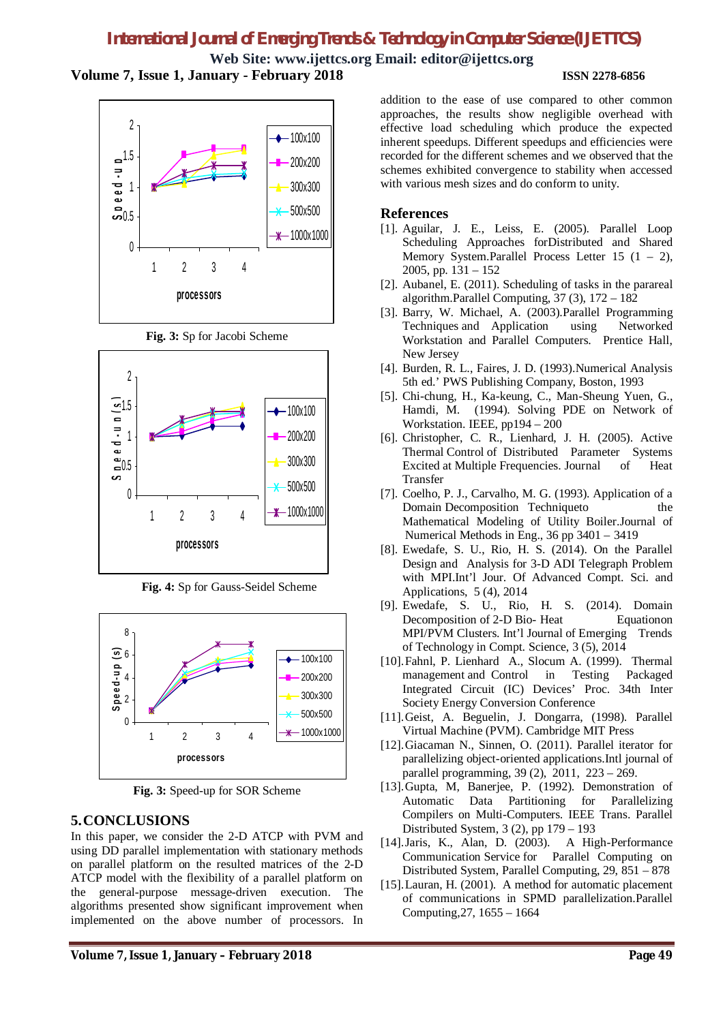**Web Site: www.ijettcs.org Email: editor@ijettcs.org Volume 7, Issue 1, January - February 2018 ISSN 2278-6856**





**Fig. 4:** Sp for Gauss-Seidel Scheme



**Fig. 3:** Speed-up for SOR Scheme

## **5.CONCLUSIONS**

In this paper, we consider the 2-D ATCP with PVM and using DD parallel implementation with stationary methods on parallel platform on the resulted matrices of the 2-D ATCP model with the flexibility of a parallel platform on the general-purpose message-driven execution. The algorithms presented show significant improvement when implemented on the above number of processors. In addition to the ease of use compared to other common approaches, the results show negligible overhead with effective load scheduling which produce the expected inherent speedups. Different speedups and efficiencies were recorded for the different schemes and we observed that the schemes exhibited convergence to stability when accessed with various mesh sizes and do conform to unity.

## **References**

- [1]. Aguilar, J. E., Leiss, E. (2005). Parallel Loop Scheduling Approaches forDistributed and Shared Memory System.Parallel Process Letter  $15$   $(1 - 2)$ , 2005, pp. 131 – 152
- [2]. Aubanel, E. (2011). Scheduling of tasks in the parareal algorithm.Parallel Computing,  $37(3)$ ,  $172 - 182$
- [3]. Barry, W. Michael, A. (2003).Parallel Programming Techniques and Application using Networked Workstation and Parallel Computers. Prentice Hall, New Jersey
- [4]. Burden, R. L., Faires, J. D. (1993).Numerical Analysis 5th ed.' PWS Publishing Company, Boston, 1993
- [5]. Chi-chung, H., Ka-keung, C., Man-Sheung Yuen, G., Hamdi, M. (1994). Solving PDE on Network of Workstation. IEEE, pp194 – 200
- [6]. Christopher, C. R., Lienhard, J. H. (2005). Active Thermal Control of Distributed Parameter Systems Excited at Multiple Frequencies. Journal of Heat Transfer
- [7]. Coelho, P. J., Carvalho, M. G. (1993). Application of a Domain Decomposition Techniqueto the Mathematical Modeling of Utility Boiler.Journal of Numerical Methods in Eng., 36 pp 3401 – 3419
- [8]. Ewedafe, S. U., Rio, H. S. (2014). On the Parallel Design and Analysis for 3-D ADI Telegraph Problem with MPI.Int'l Jour. Of Advanced Compt. Sci. and Applications, 5 (4), 2014
- [9]. Ewedafe, S. U., Rio, H. S. (2014). Domain Decomposition of 2-D Bio- Heat Equationon MPI/PVM Clusters. Int'l Journal of Emerging Trends of Technology in Compt. Science, 3 (5), 2014
- [10].Fahnl, P. Lienhard A., Slocum A. (1999). Thermal management and Control in Testing Packaged Integrated Circuit (IC) Devices' Proc. 34th Inter Society Energy Conversion Conference
- [11].Geist, A. Beguelin, J. Dongarra, (1998). Parallel Virtual Machine (PVM). Cambridge MIT Press
- [12].Giacaman N., Sinnen, O. (2011). Parallel iterator for parallelizing object-oriented applications.Intl journal of parallel programming, 39 (2), 2011, 223 – 269.
- [13].Gupta, M, Banerjee, P. (1992). Demonstration of Automatic Data Partitioning for Parallelizing Compilers on Multi-Computers. IEEE Trans. Parallel Distributed System, 3 (2), pp 179 – 193
- [14].Jaris, K., Alan, D. (2003). A High-Performance Communication Service for Parallel Computing on Distributed System, Parallel Computing, 29, 851 – 878
- [15].Lauran, H. (2001). A method for automatic placement of communications in SPMD parallelization.Parallel Computing,27, 1655 – 1664